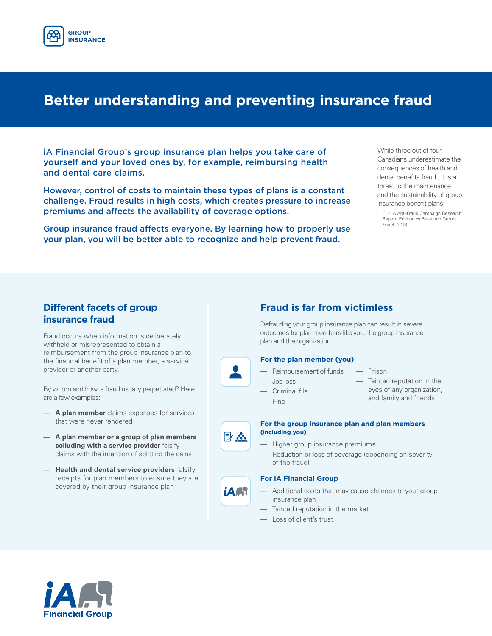

## **Better understanding and preventing insurance fraud**

iA Financial Group's group insurance plan helps you take care of yourself and your loved ones by, for example, reimbursing health and dental care claims.

However, control of costs to maintain these types of plans is a constant challenge. Fraud results in high costs, which creates pressure to increase premiums and affects the availability of coverage options.

Group insurance fraud affects everyone. By learning how to properly use your plan, you will be better able to recognize and help prevent fraud.

While three out of four Canadians underestimate the consequences of health and dental benefits fraud<sup>1</sup>, it is a threat to the maintenance and the sustainability of group insurance benefit plans.

1 CLHIA Anti-Fraud Campaign Research Report, Environics Research Group, March 2018.

### **Different facets of group insurance fraud**

Fraud occurs when information is deliberately withheld or misrepresented to obtain a reimbursement from the group insurance plan to the financial benefit of a plan member, a service provider or another party.

By whom and how is fraud usually perpetrated? Here are a few examples:

- **A plan member** claims expenses for services that were never rendered
- **A plan member or a group of plan members colluding with a service provider** falsify claims with the intention of splitting the gains
- **Health and dental service providers** falsify receipts for plan members to ensure they are covered by their group insurance plan



Defrauding your group insurance plan can result in severe outcomes for plan members like you, the group insurance plan and the organization.

#### **For the plan member (you)**

- Reimbursement of funds
- Job loss
- Criminal file
- Fine

目恋

*IAA* 

- Tainted reputation in the
	- eyes of any organization, and family and friends
- 
- 

— Prison

- 
- 
- 
- **For the group insurance plan and plan members (including you)**
- Higher group insurance premiums
- Reduction or loss of coverage (depending on severity of the fraud)

#### **For iA Financial Group**

- Additional costs that may cause changes to your group insurance plan
- Tainted reputation in the market
- Loss of client's trust